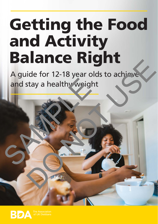# Getting the Food and Activity Balance Right

A guide for 12-18 year olds to achieve and stay a healthy weight and stay a healthy weight ide for 12-18 year olds to achiever<br>stay a healthy weight

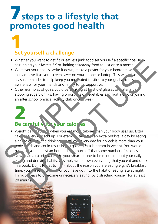## *A* steps to a lifestyle that **promotes good health**

#### **Set yourself a challenge** 1

- Whether you want to get fit or eat less junk food set yourself a specific goal such as running your fastest 5K or limiting takeaway food to just once a month.
- Whatever your goal is, write it down, make a poster for your bedroom wall for instead have it as your screen saver on your phone or laptop. This will act as a visual reminder to help keep you motivated to stick to your goal  $\epsilon$  id raises awareness for your friends and family to be supportive.
- Other examples of goals could be drinking at least 6-8 glasses on vater a day stopping sugary drinks; having 5 portions of eqetables and fruit a day; or joining an after school physical activity club once a week.

### **Be careful with your calories** 2

• Weight gain happens when you eat more calories than your body uses up. Extra caloring every day add up. For example, taking in an extra 500kcal a day by eating a chocolate bar and drinking 500ml cola every day for a week is more than your  $\log$   $\log$  eds and could result in  $\log$   $\log$  gaining  $\frac{1}{2}$  a kilogram in weight. You would have to ycle at least an hour a da, to burn off that same number of calories.  $\overline{V}$  Download a calorie  $\overline{V}$  acket to your smart phone to be mindful about your daily eating and drinking habits,  $\epsilon$  simply write down everything that you eat and drink in a book. Don't fourget to think about the reason you are eating e.g. it's breakfast time, you are feeling bore for you have got into the habit of eating late at night. Think of ways to  $\circ$  arcome unnecessary eating, by distracting yourself for at least 20 minute a visual reminder to help keep you met vated to stick<br>
awareness for your friends and fame, to be supportive<br>
Other examples of goals could be beinking at least 6-8<br>
stopping sugary drinks; having 5 portines of eigetable<br> er you want to get it or eat less junk tood set yourself a specific goal surfaining your fastes is for limiting takeaway forod to just once a month. She were the specific goal is write it down, make a poster for your bedro

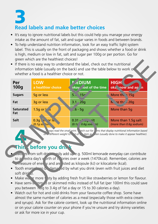### **Read labels and make better choices 3**

- It's easy to ignore nutritional labels but this could help you manage your energy intake as the amount of fat, salt and sugar varies in foods and between brands.
- To help understand nutrition information, look for an easy traffic light system label. This is usually on the front of packaging and shows whether a food or drink is high, medium or low in fat, salt and sugar per 100g or per portion. Go for green which are the healthiest choices!
- If there is no easy way to understand the label, check out the nutritional information table (usually on the back) and use the table below to work of whether a food is a healthier choice or not.

| Per<br><b>100g</b>      | <b>LOW</b><br>a healthier choice                 | <b>MUNITE</b><br>okay ost of the time                                                                                                                                         | <b>HIGH</b><br>oka now and ag n                |
|-------------------------|--------------------------------------------------|-------------------------------------------------------------------------------------------------------------------------------------------------------------------------------|------------------------------------------------|
| <b>Sugars</b>           | 5g or less                                       | 5.15c                                                                                                                                                                         | More the 15g                                   |
| Fat                     | 3g or less                                       | $3.1 - 20g$                                                                                                                                                                   | $\mathbf{h}$ , re the 20g                      |
| <b>Saturated</b><br>Fat | 1.5g or L <sub>s</sub>                           | $.6 - 5g$                                                                                                                                                                     | More than 5g                                   |
| Salt                    | $0.3g$ . $\sqrt{2}$ or le.<br>$(0.1q$ so $"$ iun | $0.31 - 1$<br>$(0.1c \t 0.6q soa. \t \eta)$                                                                                                                                   | More than 1.5g salt<br>(more than 0.6q sodium) |
|                         |                                                  | ways read the small orint. atch out for ms that display nutritional information based<br>on different weight to a tot item as ten (usually done to make it appear healthier). |                                                |
| Fhin                    | before you drink                                 |                                                                                                                                                                               |                                                |

#### **before you drink** 4

- $\epsilon$ alories from soft drinks esily add up e.g. 500ml lemonade everyday can contribute to an extra day's worth of calories over a week (1470kcal). Remember, calories are  $\Box$  measure of energy and are listed as kilojoule (kJ) or kilocalorie (kcal).
- Tooth enamely can be damaged by what you drink (even with fruit juices and diet soft drinks).
- Make water more tasty by adding fresh fruit like strawberries or lemon for flavour.
- Have semi-skimmed or skimmed milks instead of full fat (per 100ml this could save you between 1.5g to 3.4g of fat a day or 15 to 30 calories a day).
- Watch out for hot and cold drinks from your favourite coffee shop. Some have almost the same number of calories as a meal (especially those with extra cream and syrups). Ask for the calorie content, look up the nutritional information online or on your calorie counter on your phone if you're unsure and try skinny varieties or ask for more ice in your cup.